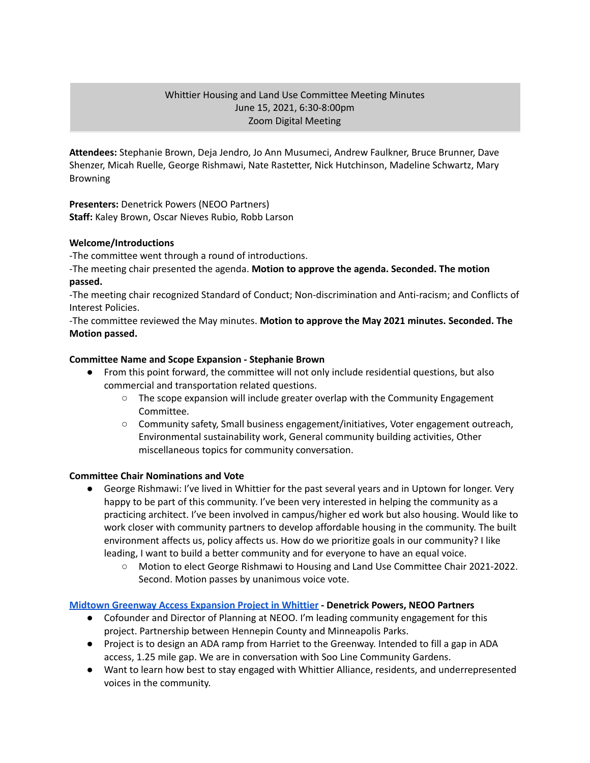# Whittier Housing and Land Use Committee Meeting Minutes June 15, 2021, 6:30-8:00pm Zoom Digital Meeting

**Attendees:** Stephanie Brown, Deja Jendro, Jo Ann Musumeci, Andrew Faulkner, Bruce Brunner, Dave Shenzer, Micah Ruelle, George Rishmawi, Nate Rastetter, Nick Hutchinson, Madeline Schwartz, Mary Browning

**Presenters:** Denetrick Powers (NEOO Partners) **Staff:** Kaley Brown, Oscar Nieves Rubio, Robb Larson

## **Welcome/Introductions**

-The committee went through a round of introductions.

-The meeting chair presented the agenda. **Motion to approve the agenda. Seconded. The motion passed.**

-The meeting chair recognized Standard of Conduct; Non-discrimination and Anti-racism; and Conflicts of Interest Policies.

-The committee reviewed the May minutes. **Motion to approve the May 2021 minutes. Seconded. The Motion passed.**

## **Committee Name and Scope Expansion - Stephanie Brown**

- From this point forward, the committee will not only include residential questions, but also commercial and transportation related questions.
	- $\circ$  The scope expansion will include greater overlap with the Community Engagement Committee.
	- Community safety, Small business engagement/initiatives, Voter engagement outreach, Environmental sustainability work, General community building activities, Other miscellaneous topics for community conversation.

### **Committee Chair Nominations and Vote**

- George Rishmawi: I've lived in Whittier for the past several years and in Uptown for longer. Very happy to be part of this community. I've been very interested in helping the community as a practicing architect. I've been involved in campus/higher ed work but also housing. Would like to work closer with community partners to develop affordable housing in the community. The built environment affects us, policy affects us. How do we prioritize goals in our community? I like leading, I want to build a better community and for everyone to have an equal voice.
	- Motion to elect George Rishmawi to Housing and Land Use Committee Chair 2021-2022. Second. Motion passes by unanimous voice vote.

### **Midtown Greenway Access [Expansion](https://www.hennepin.us/midtown-greenway-access) Project in Whittier - Denetrick Powers, NEOO Partners**

- Cofounder and Director of Planning at NEOO. I'm leading community engagement for this project. Partnership between Hennepin County and Minneapolis Parks.
- Project is to design an ADA ramp from Harriet to the Greenway. Intended to fill a gap in ADA access, 1.25 mile gap. We are in conversation with Soo Line Community Gardens.
- Want to learn how best to stay engaged with Whittier Alliance, residents, and underrepresented voices in the community.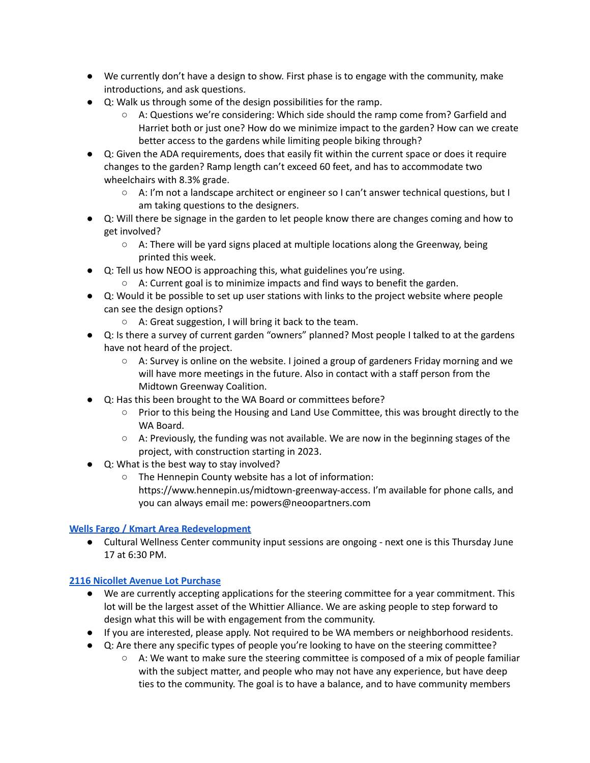- We currently don't have a design to show. First phase is to engage with the community, make introductions, and ask questions.
- Q: Walk us through some of the design possibilities for the ramp.
	- A: Questions we're considering: Which side should the ramp come from? Garfield and Harriet both or just one? How do we minimize impact to the garden? How can we create better access to the gardens while limiting people biking through?
- Q: Given the ADA requirements, does that easily fit within the current space or does it require changes to the garden? Ramp length can't exceed 60 feet, and has to accommodate two wheelchairs with 8.3% grade.
	- A: I'm not a landscape architect or engineer so I can't answer technical questions, but I am taking questions to the designers.
- Q: Will there be signage in the garden to let people know there are changes coming and how to get involved?
	- $\circ$  A: There will be yard signs placed at multiple locations along the Greenway, being printed this week.
- Q: Tell us how NEOO is approaching this, what guidelines you're using.
	- $\circ$  A: Current goal is to minimize impacts and find ways to benefit the garden.
- Q: Would it be possible to set up user stations with links to the project website where people can see the design options?
	- A: Great suggestion, I will bring it back to the team.
- Q: Is there a survey of current garden "owners" planned? Most people I talked to at the gardens have not heard of the project.
	- $\circ$  A: Survey is online on the website. I joined a group of gardeners Friday morning and we will have more meetings in the future. Also in contact with a staff person from the Midtown Greenway Coalition.
- Q: Has this been brought to the WA Board or committees before?
	- Prior to this being the Housing and Land Use Committee, this was brought directly to the WA Board.
	- $\circ$  A: Previously, the funding was not available. We are now in the beginning stages of the project, with construction starting in 2023.
- Q: What is the best way to stay involved?
	- The Hennepin County website has a lot of information: https://www.hennepin.us/midtown-greenway-access. I'm available for phone calls, and you can always email me: powers@neoopartners.com

# **Wells Fargo / Kmart Area [Redevelopment](https://www.lakeandnicollet.com/)**

● Cultural Wellness Center community input sessions are ongoing - next one is this Thursday June 17 at 6:30 PM.

# **2116 Nicollet Avenue Lot [Purchase](https://www.whittieralliance.org/2116-nicollet-ave-vacant-lot.html)**

- We are currently accepting applications for the steering committee for a year commitment. This lot will be the largest asset of the Whittier Alliance. We are asking people to step forward to design what this will be with engagement from the community.
- If you are interested, please apply. Not required to be WA members or neighborhood residents.
- Q: Are there any specific types of people you're looking to have on the steering committee?
	- $\circ$  A: We want to make sure the steering committee is composed of a mix of people familiar with the subject matter, and people who may not have any experience, but have deep ties to the community. The goal is to have a balance, and to have community members